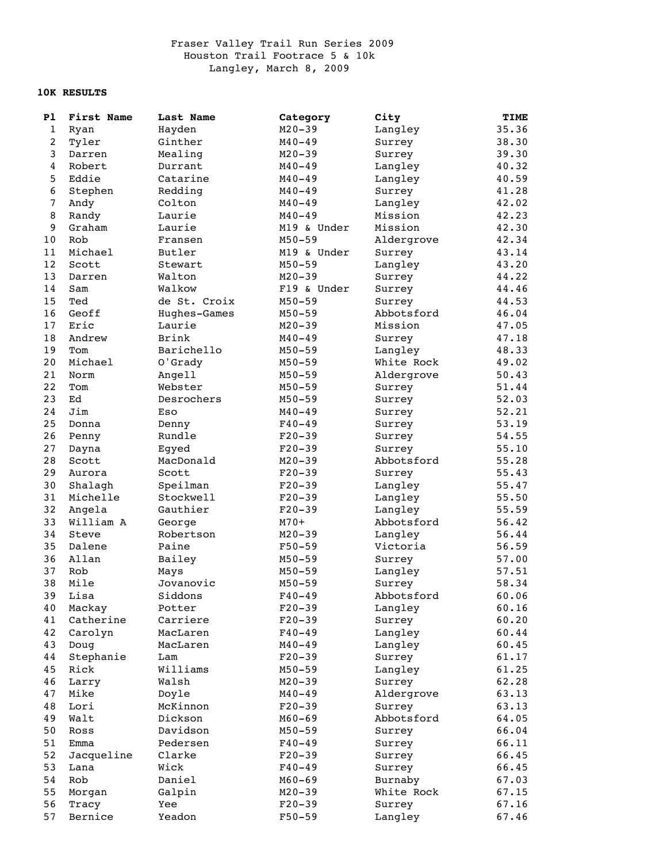## Fraser Valley Trail Run Series 2009 Houston Trail Footrace 5 & 10k Langley, March 8, 2009

## **10K RESULTS**

| P1           | First Name | Last Name    | Category    | City       | TIME  |
|--------------|------------|--------------|-------------|------------|-------|
| $\mathbf{1}$ | Ryan       | Hayden       | $M20 - 39$  | Langley    | 35.36 |
| 2            | Tyler      | Ginther      | $M40 - 49$  | Surrey     | 38.30 |
| 3            | Darren     | Mealing      | $M20 - 39$  | Surrey     | 39.30 |
| 4            | Robert     | Durrant      | $M40 - 49$  | Langley    | 40.32 |
| 5            | Eddie      | Catarine     | $M40 - 49$  | Langley    | 40.59 |
| 6            | Stephen    | Redding      | $M40 - 49$  | Surrey     | 41.28 |
| 7            | Andy       | Colton       | $M40 - 49$  | Langley    | 42.02 |
| 8            | Randy      | Laurie       | $M40 - 49$  | Mission    | 42.23 |
| 9            | Graham     | Laurie       | M19 & Under | Mission    | 42.30 |
| 10           | Rob        | Fransen      | $M50 - 59$  | Aldergrove | 42.34 |
| 11           | Michael    | Butler       | M19 & Under | Surrey     | 43.14 |
| 12           | Scott      | Stewart      | $M50 - 59$  | Langley    | 43.20 |
| 13           | Darren     | Walton       | $M20 - 39$  | Surrey     | 44.22 |
| 14           | Sam        | Walkow       | F19 & Under | Surrey     | 44.46 |
| 15           | Ted        | de St. Croix | $M50 - 59$  | Surrey     | 44.53 |
| 16           | Geoff      | Hughes-Games | $M50 - 59$  | Abbotsford | 46.04 |
| 17           | Eric       | Laurie       | $M20 - 39$  | Mission    | 47.05 |
| 18           | Andrew     | Brink        | $M40 - 49$  | Surrey     | 47.18 |
| 19           | Tom        | Barichello   | $M50 - 59$  | Langley    | 48.33 |
| 20           | Michael    | O'Grady      | $M50 - 59$  | White Rock | 49.02 |
| 21           | Norm       | Angell       | $M50 - 59$  | Aldergrove | 50.43 |
| 22           | Tom        | Webster      | $M50 - 59$  | Surrey     | 51.44 |
| 23           | Ed         | Desrochers   | $M50 - 59$  | Surrey     | 52.03 |
| 24           | Jim        | Eso          | $M40 - 49$  | Surrey     | 52.21 |
| 25           | Donna      | Denny        | $F40 - 49$  | Surrey     | 53.19 |
| 26           | Penny      | Rundle       | $F20-39$    | Surrey     | 54.55 |
| 27           | Dayna      | Egyed        | $F20-39$    | Surrey     | 55.10 |
| 28           | Scott      | MacDonald    | $M20 - 39$  | Abbotsford | 55.28 |
| 29           | Aurora     | Scott        | $F20-39$    | Surrey     | 55.43 |
| 30           | Shalagh    | Speilman     | $F20-39$    | Langley    | 55.47 |
| 31           | Michelle   | Stockwell    | $F20-39$    | Langley    | 55.50 |
| 32           | Angela     | Gauthier     | $F20-39$    | Langley    | 55.59 |
| 33           | William A  | George       | $M70+$      | Abbotsford | 56.42 |
| 34           | Steve      | Robertson    | $M20 - 39$  | Langley    | 56.44 |
| 35           | Dalene     | Paine        | $F50 - 59$  | Victoria   | 56.59 |
| 36           | Allan      | Bailey       | $M50 - 59$  | Surrey     | 57.00 |
| 37           | Rob        | Mays         | $M50 - 59$  | Langley    | 57.51 |
| 38           | Mile       | Jovanovic    | $M50 - 59$  | Surrey     | 58.34 |
| 39           | Lisa       | Siddons      | $F40 - 49$  | Abbotsford | 60.06 |
| 40           | Mackay     | Potter       | $F20-39$    | Langley    | 60.16 |
| 41           | Catherine  | Carriere     | $F20-39$    | Surrey     | 60.20 |
| 42           | Carolyn    | MacLaren     | $F40 - 49$  | Langley    | 60.44 |
| 43           | Doug       | MacLaren     | $M40 - 49$  | Langley    | 60.45 |
| 44           | Stephanie  | Lam          | $F20-39$    | Surrey     | 61.17 |
| 45           | Rick       | Williams     | $M50 - 59$  | Langley    | 61.25 |
| 46           | Larry      | Walsh        | $M20 - 39$  | Surrey     | 62.28 |
| 47           | Mike       | Doyle        | $M40 - 49$  | Aldergrove | 63.13 |
| 48           | Lori       | McKinnon     | $F20-39$    | Surrey     | 63.13 |
| 49           | Walt       | Dickson      | $M60 - 69$  | Abbotsford | 64.05 |
| 50           | Ross       | Davidson     | $M50 - 59$  | Surrey     | 66.04 |
| 51           | Emma       | Pedersen     | $F40 - 49$  | Surrey     | 66.11 |
| 52           | Jacqueline | Clarke       | $F20-39$    | Surrey     | 66.45 |
| 53           | Lana       | Wick         | $F40 - 49$  | Surrey     | 66.45 |
| 54           | Rob        | Daniel       | $M60 - 69$  | Burnaby    | 67.03 |
| 55           | Morgan     | Galpin       | $M20 - 39$  | White Rock | 67.15 |
| 56           | Tracy      | Yee          | $F20-39$    | Surrey     | 67.16 |
| 57           | Bernice    | Yeadon       | $F50 - 59$  | Langley    | 67.46 |
|              |            |              |             |            |       |